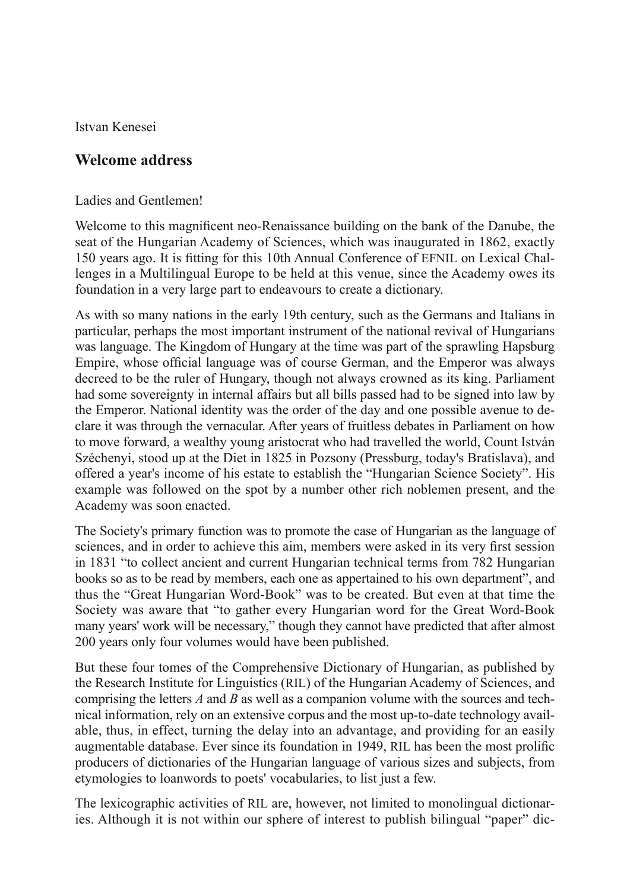Istvan Kenesei

## **Welcome address**

Ladies and Gentlemen!

Welcome to this magnificent neo-Renaissance building on the bank of the Danube, the seat of the Hungarian Academy of Sciences, which was inaugurated in 1862, exactly 150 years ago. It is fitting for this 10th Annual Conference of EFNIL on Lexical Challenges in a Multilingual Europe to be held at this venue, since the Academy owes its foundation in a very large part to endeavours to create a dictionary.

As with so many nations in the early 19th century, such as the Germans and Italians in particular, perhaps the most important instrument of the national revival of Hungarians was language. The Kingdom of Hungary at the time was part of the sprawling Hapsburg Empire, whose official language was of course German, and the Emperor was always decreed to be the ruler of Hungary, though not always crowned as its king. Parliament had some sovereignty in internal affairs but all bills passed had to be signed into law by the Emperor. National identity was the order of the day and one possible avenue to declare it was through the vernacular. After years of fruitless debates in Parliament on how to move forward, a wealthy young aristocrat who had travelled the world, Count István Széchenyi, stood up at the Diet in 1825 in Pozsony (Pressburg, today's Bratislava), and offered a year's income of his estate to establish the "Hungarian Science Society". His example was followed on the spot by a number other rich noblemen present, and the Academy was soon enacted.

The Society's primary function was to promote the case of Hungarian as the language of sciences, and in order to achieve this aim, members were asked in its very first session in 1831 "to collect ancient and current Hungarian technical terms from 782 Hungarian books so as to be read by members, each one as appertained to his own department", and thus the "Great Hungarian Word-Book" was to be created. But even at that time the Society was aware that "to gather every Hungarian word for the Great Word-Book many years' work will be necessary," though they cannot have predicted that after almost 200 years only four volumes would have been published.

But these four tomes of the Comprehensive Dictionary of Hungarian, as published by the Research Institute for Linguistics (RIL) of the Hungarian Academy of Sciences, and comprising the letters *A* and *B* as well as a companion volume with the sources and technical information, rely on an extensive corpus and the most up-to-date technology available, thus, in effect, turning the delay into an advantage, and providing for an easily augmentable database. Ever since its foundation in 1949, RIL has been the most prolific producers of dictionaries of the Hungarian language of various sizes and subjects, from etymologies to loanwords to poets' vocabularies, to list just a few.

The lexicographic activities of RIL are, however, not limited to monolingual dictionaries. Although it is not within our sphere of interest to publish bilingual "paper" dic